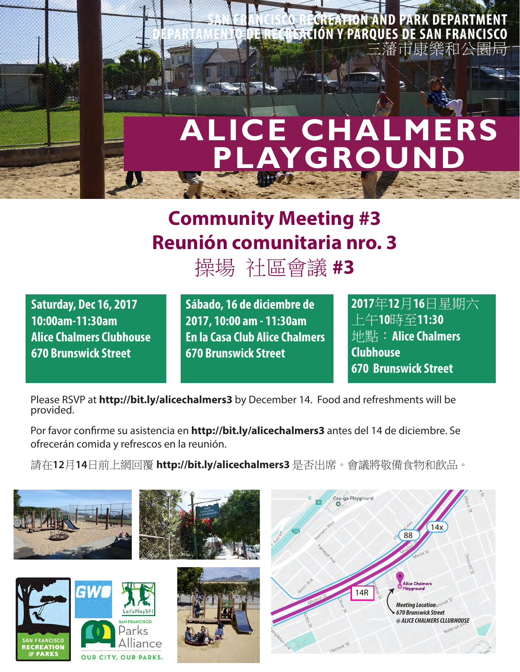

## **Community Meeting #3 Reunión comunitaria nro. 3**

操場 社區會議 **#3**

**Saturday, Dec 16, 2017 10:00am-11:30am Alice Chalmers Clubhouse 670 Brunswick Street**

**Sábado, 16 de diciembre de 2017, 10:00 am - 11:30am En la Casa Club Alice Chalmers 670 Brunswick Street**

**2017**年**12**月**16**日星期六 上午**10**時至**11:30** 地點:**Alice Chalmers Clubhouse 670 Brunswick Street**

Please RSVP at **http://bit.ly/alicechalmers3** by December 14. Food and refreshments will be provided.

Por favor confirme su asistencia en **http://bit.ly/alicechalmers3** antes del 14 de diciembre. Se ofrecerán comida y refrescos en la reunión.

請在**12**月**14**日前上網回覆 **http://bit.ly/alicechalmers3** 是否出席。會議將敬備食物和飲品。